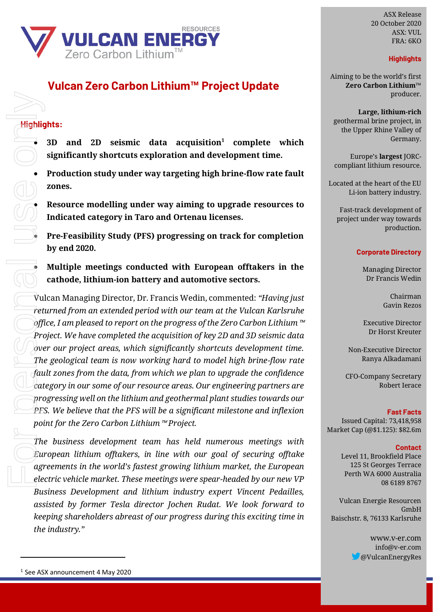

# **Vulcan Zero Carbon Lithium™ Project Update**

### **Highlights:**

- **3D and 2D seismic data acquisition<sup>1</sup> complete which significantly shortcuts exploration and development time.** 
	- **Production study under way targeting high brine-flow rate fault zones.**

• **Resource modelling under way aiming to upgrade resources to Indicated category in Taro and Ortenau licenses.**

• **Pre-Feasibility Study (PFS) progressing on track for completion by end 2020.**

• **Multiple meetings conducted with European offtakers in the cathode, lithium-ion battery and automotive sectors.**

Vulcan Managing Director, Dr. Francis Wedin, commented: *"Having just returned from an extended period with our team at the Vulcan Karlsruhe office, I am pleased to report on the progress of the Zero Carbon Lithium*™ *Project. We have completed the acquisition of key 2D and 3D seismic data over our project areas, which significantly shortcuts development time. The geological team is now working hard to model high brine-flow rate fault zones from the data, from which we plan to upgrade the confidence category in our some of our resource areas. Our engineering partners are progressing well on the lithium and geothermal plant studies towards our PFS. We believe that the PFS will be a significant milestone and inflexion point for the Zero Carbon Lithium*™ *Project.*   $\begin{array}{r} \hline \text{High} \text{He} \\ \hline \text{High} \text{He} \\ \hline \text{high} \text{He} \\ \hline \text{high} \text{He} \\ \hline \text{He} \\ \hline \text{The image} \\ \hline \text{The image} \\ \hline \text{The image} \\ \hline \text{The image} \\ \hline \text{The image} \\ \hline \text{The image} \\ \hline \text{The image} \\ \hline \text{The image} \\ \hline \text{The image} \\ \hline \end{array}$ 

*The business development team has held numerous meetings with European lithium offtakers, in line with our goal of securing offtake agreements in the world's fastest growing lithium market, the European electric vehicle market. These meetings were spear-headed by our new VP Business Development and lithium industry expert Vincent Pedailles, assisted by former Tesla director Jochen Rudat. We look forward to keeping shareholders abreast of our progress during this exciting time in the industry."*

ASX Release 20 October 2020 ASX: VUL FRA: 6KO

### **Highlights**

Aiming to be the world's first **Zero Carbon Lithium™** producer.

**Large, lithium-rich** geothermal brine project, in the Upper Rhine Valley of Germany.

Europe's **largest** JORCcompliant lithium resource.

Located at the heart of the EU Li-ion battery industry.

Fast-track development of project under way towards production.

#### **Corporate Directory**

Managing Director Dr Francis Wedin

> Chairman Gavin Rezos

Executive Director Dr Horst Kreuter

Non-Executive Director Ranya Alkadamani

CFO-Company Secretary Robert Ierace

#### **Fast Facts**

Issued Capital: 73,418,958 Market Cap (@\$1.125): \$82.6m

#### **Contact**

Level 11, Brookfield Place 125 St Georges Terrace Perth WA 6000 Australia 08 6189 8767

Vulcan Energie Resourcen GmbH Baischstr. 8, 76133 Karlsruhe

> www.v-er.com info@v-er.com @VulcanEnergyRes

<sup>&</sup>lt;sup>1</sup> See ASX announcement 4 May 2020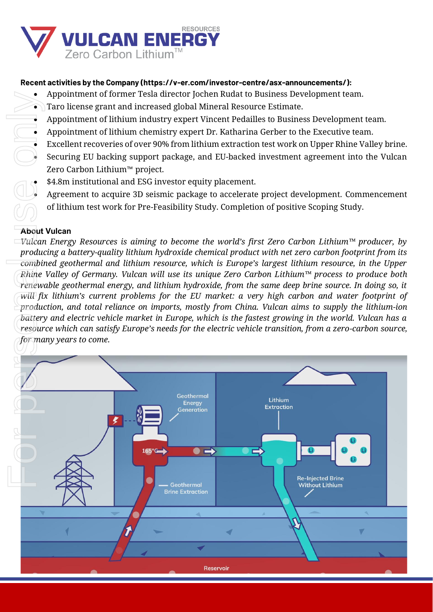

# **Recent activities by the Company (https://v-er.com/investor-centre/asx-announcements/):**

- Appointment of former Tesla director Jochen Rudat to Business Development team.
- Taro license grant and increased global Mineral Resource Estimate.
- Appointment of lithium industry expert Vincent Pedailles to Business Development team.
- Appointment of lithium chemistry expert Dr. Katharina Gerber to the Executive team.
- Excellent recoveries of over 90% from lithium extraction test work on Upper Rhine Valley brine.
- Securing EU backing support package, and EU-backed investment agreement into the Vulcan Zero Carbon Lithium™ project.
- \$4.8m institutional and ESG investor equity placement.
- Agreement to acquire 3D seismic package to accelerate project development. Commencement of lithium test work for Pre-Feasibility Study. Completion of positive Scoping Study.

# **About Vulcan**

*Vulcan Energy Resources is aiming to become the world's first Zero Carbon Lithium™ producer, by producing a battery-quality lithium hydroxide chemical product with net zero carbon footprint from its combined geothermal and lithium resource, which is Europe's largest lithium resource, in the Upper Rhine Valley of Germany. Vulcan will use its unique Zero Carbon Lithium™ process to produce both renewable geothermal energy, and lithium hydroxide, from the same deep brine source. In doing so, it will fix lithium's current problems for the EU market: a very high carbon and water footprint of production, and total reliance on imports, mostly from China. Vulcan aims to supply the lithium-ion battery and electric vehicle market in Europe, which is the fastest growing in the world. Vulcan has a resource which can satisfy Europe's needs for the electric vehicle transition, from a zero-carbon source,*